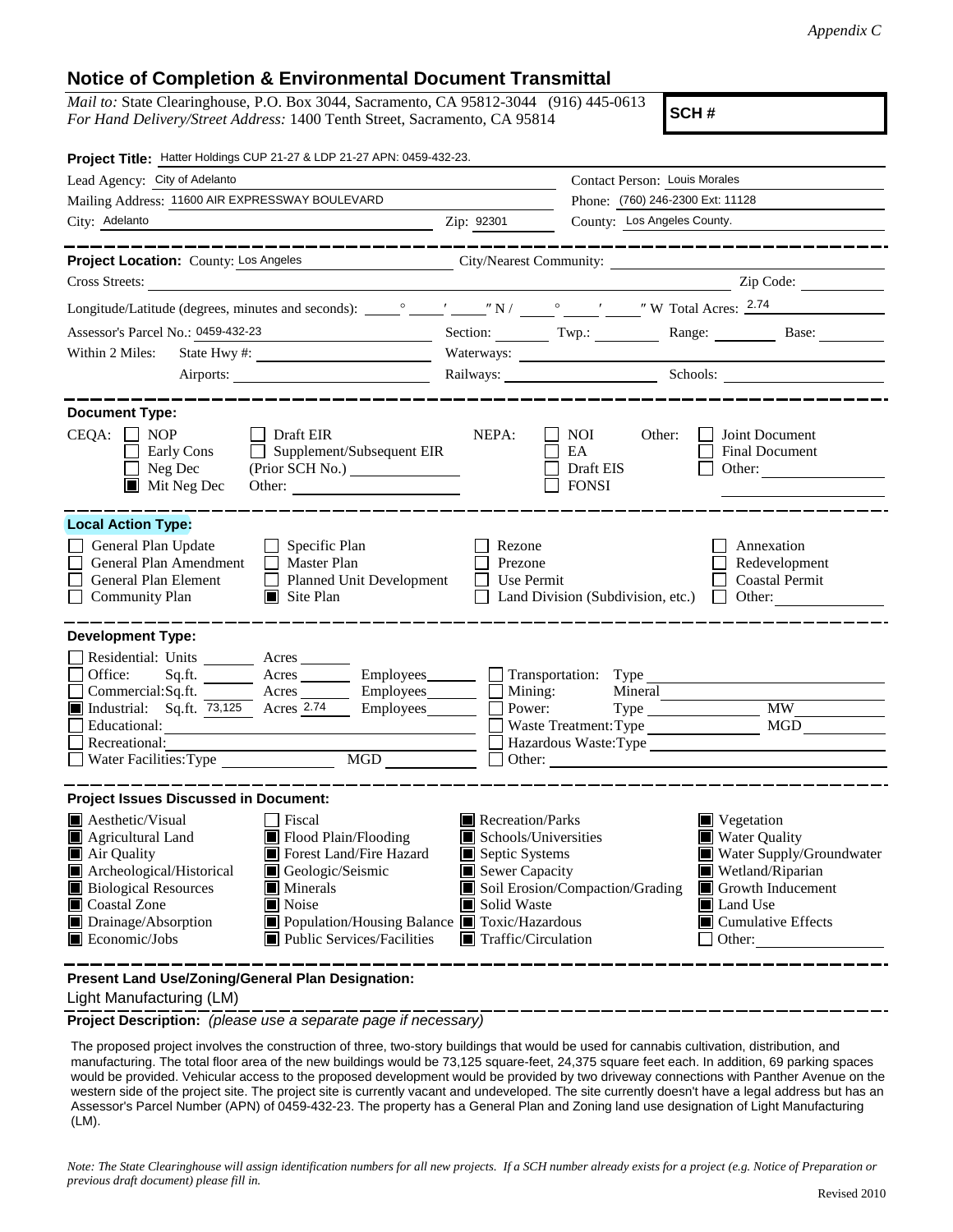## **Notice of Completion & Environmental Document Transmittal**

*Mail to:* State Clearinghouse, P.O. Box 3044, Sacramento, CA 95812-3044 (916) 445-0613 *For Hand Delivery/Street Address:* 1400 Tenth Street, Sacramento, CA 95814

**SCH #**

| Project Title: Hatter Holdings CUP 21-27 & LDP 21-27 APN: 0459-432-23.                                                                                                                                                                                                                                                                                                         |                                                                                                                                               |                                                                                                                                                                                                                                                                                                                                                 |                                                   |  |
|--------------------------------------------------------------------------------------------------------------------------------------------------------------------------------------------------------------------------------------------------------------------------------------------------------------------------------------------------------------------------------|-----------------------------------------------------------------------------------------------------------------------------------------------|-------------------------------------------------------------------------------------------------------------------------------------------------------------------------------------------------------------------------------------------------------------------------------------------------------------------------------------------------|---------------------------------------------------|--|
| Lead Agency: City of Adelanto                                                                                                                                                                                                                                                                                                                                                  |                                                                                                                                               | Contact Person: Louis Morales                                                                                                                                                                                                                                                                                                                   |                                                   |  |
| Mailing Address: 11600 AIR EXPRESSWAY BOULEVARD                                                                                                                                                                                                                                                                                                                                | Phone: (760) 246-2300 Ext: 11128                                                                                                              |                                                                                                                                                                                                                                                                                                                                                 |                                                   |  |
| City: Adelanto<br><u> 1989 - Johann Barn, fransk politik amerikansk politik (</u>                                                                                                                                                                                                                                                                                              | Zip: 92301                                                                                                                                    | County: Los Angeles County.                                                                                                                                                                                                                                                                                                                     |                                                   |  |
| ____________                                                                                                                                                                                                                                                                                                                                                                   |                                                                                                                                               |                                                                                                                                                                                                                                                                                                                                                 | __________________                                |  |
| Project Location: County: Los Angeles                                                                                                                                                                                                                                                                                                                                          |                                                                                                                                               | City/Nearest Community:                                                                                                                                                                                                                                                                                                                         |                                                   |  |
| Cross Streets:                                                                                                                                                                                                                                                                                                                                                                 |                                                                                                                                               |                                                                                                                                                                                                                                                                                                                                                 | Zip Code:                                         |  |
|                                                                                                                                                                                                                                                                                                                                                                                |                                                                                                                                               |                                                                                                                                                                                                                                                                                                                                                 |                                                   |  |
| Assessor's Parcel No.: 0459-432-23<br><u> 1989 - Johann Barn, fransk politik (</u>                                                                                                                                                                                                                                                                                             |                                                                                                                                               |                                                                                                                                                                                                                                                                                                                                                 | Section: Twp.: Range: Base:                       |  |
| Within 2 Miles:                                                                                                                                                                                                                                                                                                                                                                |                                                                                                                                               |                                                                                                                                                                                                                                                                                                                                                 |                                                   |  |
|                                                                                                                                                                                                                                                                                                                                                                                |                                                                                                                                               |                                                                                                                                                                                                                                                                                                                                                 | Railways: Schools: Schools: Charles Ballways:     |  |
| <b>Document Type:</b>                                                                                                                                                                                                                                                                                                                                                          |                                                                                                                                               |                                                                                                                                                                                                                                                                                                                                                 |                                                   |  |
| $CEQA: \Box NOP$<br>$\Box$ Draft EIR<br>$\Box$ Supplement/Subsequent EIR<br>Early Cons<br>$\Box$ Neg Dec<br>(Prior SCH No.)<br>$\blacksquare$ Mit Neg Dec                                                                                                                                                                                                                      | NEPA:                                                                                                                                         | NOI.<br>Other:<br>EA<br>Draft EIS<br><b>FONSI</b>                                                                                                                                                                                                                                                                                               | Joint Document<br><b>Final Document</b><br>Other: |  |
| <b>Local Action Type:</b>                                                                                                                                                                                                                                                                                                                                                      |                                                                                                                                               |                                                                                                                                                                                                                                                                                                                                                 |                                                   |  |
| General Plan Update<br>$\Box$ Specific Plan<br>General Plan Amendment<br>$\Box$ Master Plan<br>General Plan Element<br>Planned Unit Development<br><b>Community Plan</b><br>$\Box$ Site Plan<br>$\Box$                                                                                                                                                                         | Rezone<br>Annexation<br>Prezone<br>Redevelopment<br>Use Permit<br><b>Coastal Permit</b><br>Land Division (Subdivision, etc.)<br>$\Box$ Other: |                                                                                                                                                                                                                                                                                                                                                 |                                                   |  |
| <b>Development Type:</b><br>Residential: Units ________ Acres _______<br>Acres Employees Transportation: Type<br>Office:<br>Sq.ft.<br>Commercial:Sq.ft. ________ Acres ________ Employees _______ $\Box$<br>$\Box$ Industrial: Sq.ft. $\overline{73,125}$ Acres 2.74<br>$Employes$ $\Box$<br>Educational:<br>Recreational:<br>MGD<br>Water Facilities: Type                    | Mining:<br>Power:                                                                                                                             | Type<br>Waste Treatment: Type<br>Hazardous Waste:Type                                                                                                                                                                                                                                                                                           | <b>MW</b><br>MGD                                  |  |
| <b>Project Issues Discussed in Document:</b>                                                                                                                                                                                                                                                                                                                                   |                                                                                                                                               |                                                                                                                                                                                                                                                                                                                                                 |                                                   |  |
| <b>A</b> esthetic/Visual<br>Fiscal<br>Flood Plain/Flooding<br>Agricultural Land<br>Forest Land/Fire Hazard<br>Air Quality<br>Archeological/Historical<br>Geologic/Seismic<br><b>Biological Resources</b><br><b>I</b> Minerals<br>Coastal Zone<br>Noise<br>Drainage/Absorption<br>■ Population/Housing Balance ■ Toxic/Hazardous<br>Public Services/Facilities<br>Economic/Jobs | Solid Waste<br>IЦ                                                                                                                             | Recreation/Parks<br>$\blacksquare$ Vegetation<br><b>Water Quality</b><br>Schools/Universities<br>Septic Systems<br>Water Supply/Groundwater<br>Sewer Capacity<br>Wetland/Riparian<br>Soil Erosion/Compaction/Grading<br>$\blacksquare$ Growth Inducement<br>Land Use<br>ш<br>Cumulative Effects<br>$\blacksquare$ Traffic/Circulation<br>Other: |                                                   |  |

**Present Land Use/Zoning/General Plan Designation:**

Light Manufacturing (LM)

**Project Description:** *(please use a separate page if necessary)*

 The proposed project involves the construction of three, two-story buildings that would be used for cannabis cultivation, distribution, and manufacturing. The total floor area of the new buildings would be 73,125 square-feet, 24,375 square feet each. In addition, 69 parking spaces would be provided. Vehicular access to the proposed development would be provided by two driveway connections with Panther Avenue on the western side of the project site. The project site is currently vacant and undeveloped. The site currently doesn't have a legal address but has an Assessor's Parcel Number (APN) of 0459-432-23. The property has a General Plan and Zoning land use designation of Light Manufacturing (LM).

*Note: The State Clearinghouse will assign identification numbers for all new projects. If a SCH number already exists for a project (e.g. Notice of Preparation or previous draft document) please fill in.*